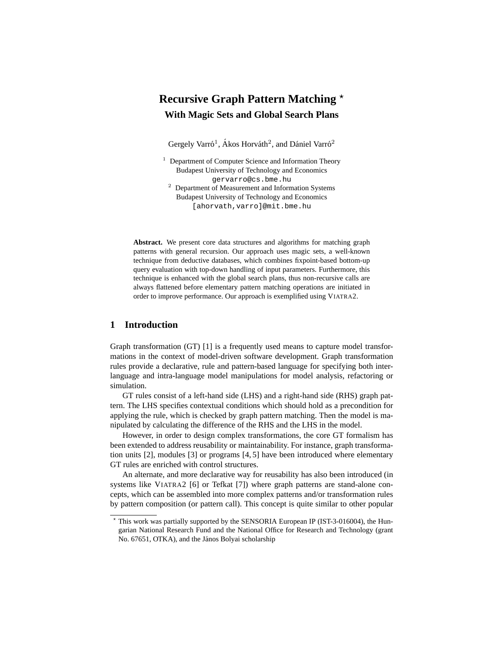# **Recursive Graph Pattern Matching** ? **With Magic Sets and Global Search Plans**

Gergely Varró<sup>1</sup>, Ákos Horváth<sup>2</sup>, and Dániel Varró<sup>2</sup>

 $1$  Department of Computer Science and Information Theory Budapest University of Technology and Economics gervarro@cs.bme.hu

 $2$  Department of Measurement and Information Systems Budapest University of Technology and Economics [ahorvath,varro]@mit.bme.hu

**Abstract.** We present core data structures and algorithms for matching graph patterns with general recursion. Our approach uses magic sets, a well-known technique from deductive databases, which combines fixpoint-based bottom-up query evaluation with top-down handling of input parameters. Furthermore, this technique is enhanced with the global search plans, thus non-recursive calls are always flattened before elementary pattern matching operations are initiated in order to improve performance. Our approach is exemplified using VIATRA2.

# **1 Introduction**

Graph transformation (GT) [1] is a frequently used means to capture model transformations in the context of model-driven software development. Graph transformation rules provide a declarative, rule and pattern-based language for specifying both interlanguage and intra-language model manipulations for model analysis, refactoring or simulation.

GT rules consist of a left-hand side (LHS) and a right-hand side (RHS) graph pattern. The LHS specifies contextual conditions which should hold as a precondition for applying the rule, which is checked by graph pattern matching. Then the model is manipulated by calculating the difference of the RHS and the LHS in the model.

However, in order to design complex transformations, the core GT formalism has been extended to address reusability or maintainability. For instance, graph transformation units [2], modules [3] or programs [4, 5] have been introduced where elementary GT rules are enriched with control structures.

An alternate, and more declarative way for reusability has also been introduced (in systems like VIATRA2 [6] or Tefkat [7]) where graph patterns are stand-alone concepts, which can be assembled into more complex patterns and/or transformation rules by pattern composition (or pattern call). This concept is quite similar to other popular

<sup>?</sup> This work was partially supported by the SENSORIA European IP (IST-3-016004), the Hungarian National Research Fund and the National Office for Research and Technology (grant No. 67651, OTKA), and the János Bolyai scholarship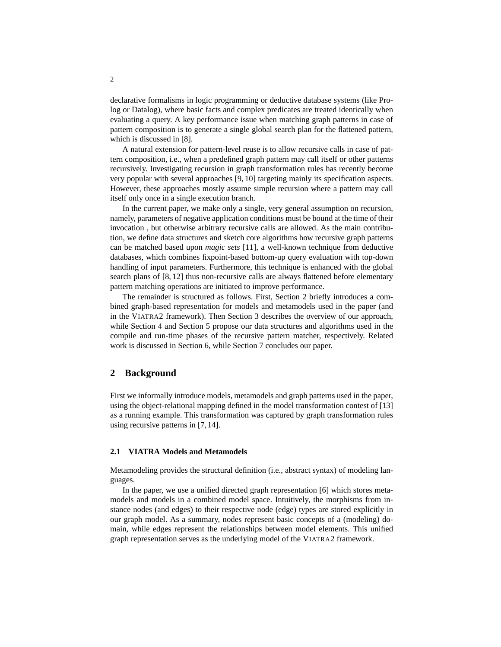declarative formalisms in logic programming or deductive database systems (like Prolog or Datalog), where basic facts and complex predicates are treated identically when evaluating a query. A key performance issue when matching graph patterns in case of pattern composition is to generate a single global search plan for the flattened pattern, which is discussed in [8].

A natural extension for pattern-level reuse is to allow recursive calls in case of pattern composition, i.e., when a predefined graph pattern may call itself or other patterns recursively. Investigating recursion in graph transformation rules has recently become very popular with several approaches [9, 10] targeting mainly its specification aspects. However, these approaches mostly assume simple recursion where a pattern may call itself only once in a single execution branch.

In the current paper, we make only a single, very general assumption on recursion, namely, parameters of negative application conditions must be bound at the time of their invocation , but otherwise arbitrary recursive calls are allowed. As the main contribution, we define data structures and sketch core algorithms how recursive graph patterns can be matched based upon *magic sets* [11], a well-known technique from deductive databases, which combines fixpoint-based bottom-up query evaluation with top-down handling of input parameters. Furthermore, this technique is enhanced with the global search plans of [8, 12] thus non-recursive calls are always flattened before elementary pattern matching operations are initiated to improve performance.

The remainder is structured as follows. First, Section 2 briefly introduces a combined graph-based representation for models and metamodels used in the paper (and in the VIATRA2 framework). Then Section 3 describes the overview of our approach, while Section 4 and Section 5 propose our data structures and algorithms used in the compile and run-time phases of the recursive pattern matcher, respectively. Related work is discussed in Section 6, while Section 7 concludes our paper.

### **2 Background**

First we informally introduce models, metamodels and graph patterns used in the paper, using the object-relational mapping defined in the model transformation contest of [13] as a running example. This transformation was captured by graph transformation rules using recursive patterns in [7, 14].

#### **2.1 VIATRA Models and Metamodels**

Metamodeling provides the structural definition (i.e., abstract syntax) of modeling languages.

In the paper, we use a unified directed graph representation [6] which stores metamodels and models in a combined model space. Intuitively, the morphisms from instance nodes (and edges) to their respective node (edge) types are stored explicitly in our graph model. As a summary, nodes represent basic concepts of a (modeling) domain, while edges represent the relationships between model elements. This unified graph representation serves as the underlying model of the VIATRA2 framework.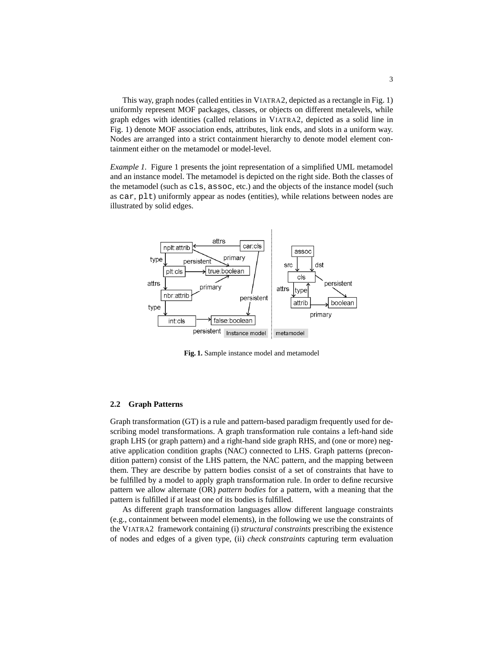This way, graph nodes (called entities in VIATRA2, depicted as a rectangle in Fig. 1) uniformly represent MOF packages, classes, or objects on different metalevels, while graph edges with identities (called relations in VIATRA2, depicted as a solid line in Fig. 1) denote MOF association ends, attributes, link ends, and slots in a uniform way. Nodes are arranged into a strict containment hierarchy to denote model element containment either on the metamodel or model-level.

*Example 1.* Figure 1 presents the joint representation of a simplified UML metamodel and an instance model. The metamodel is depicted on the right side. Both the classes of the metamodel (such as cls, assoc, etc.) and the objects of the instance model (such as car, plt) uniformly appear as nodes (entities), while relations between nodes are illustrated by solid edges.



**Fig. 1.** Sample instance model and metamodel

#### **2.2 Graph Patterns**

Graph transformation (GT) is a rule and pattern-based paradigm frequently used for describing model transformations. A graph transformation rule contains a left-hand side graph LHS (or graph pattern) and a right-hand side graph RHS, and (one or more) negative application condition graphs (NAC) connected to LHS. Graph patterns (precondition pattern) consist of the LHS pattern, the NAC pattern, and the mapping between them. They are describe by pattern bodies consist of a set of constraints that have to be fulfilled by a model to apply graph transformation rule. In order to define recursive pattern we allow alternate (OR) *pattern bodies* for a pattern, with a meaning that the pattern is fulfilled if at least one of its bodies is fulfilled.

As different graph transformation languages allow different language constraints (e.g., containment between model elements), in the following we use the constraints of the VIATRA2 framework containing (i) *structural constraints* prescribing the existence of nodes and edges of a given type, (ii) *check constraints* capturing term evaluation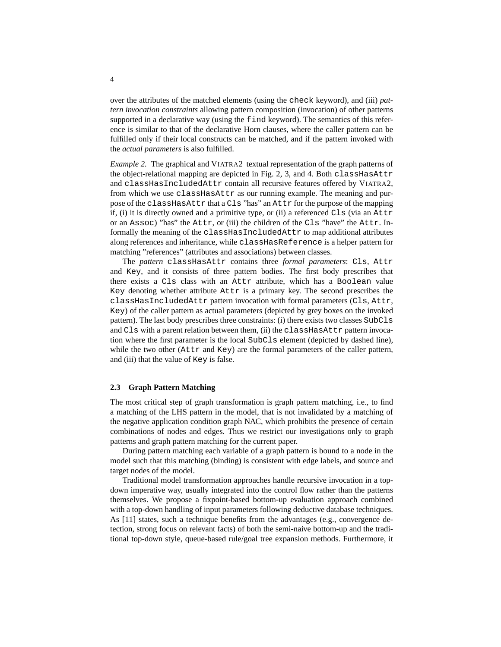over the attributes of the matched elements (using the check keyword), and (iii) *pattern invocation constraints* allowing pattern composition (invocation) of other patterns supported in a declarative way (using the find keyword). The semantics of this reference is similar to that of the declarative Horn clauses, where the caller pattern can be fulfilled only if their local constructs can be matched, and if the pattern invoked with the *actual parameters* is also fulfilled.

*Example 2.* The graphical and VIATRA2 textual representation of the graph patterns of the object-relational mapping are depicted in Fig. 2, 3, and 4. Both classHasAttr and classHasIncludedAttr contain all recursive features offered by VIATRA2, from which we use classHasAttr as our running example. The meaning and purpose of the classHasAttr that a Cls "has" an Attr for the purpose of the mapping if, (i) it is directly owned and a primitive type, or (ii) a referenced  $Cls$  (via an Attr or an Assoc) "has" the Attr, or (iii) the children of the Cls "have" the Attr. Informally the meaning of the classHasIncludedAttr to map additional attributes along references and inheritance, while classHasReference is a helper pattern for matching "references" (attributes and associations) between classes.

The *pattern* classHasAttr contains three *formal parameters*: Cls, Attr and Key, and it consists of three pattern bodies. The first body prescribes that there exists a Cls class with an Attr attribute, which has a Boolean value Key denoting whether attribute Attr is a primary key. The second prescribes the classHasIncludedAttr pattern invocation with formal parameters (Cls, Attr, Key) of the caller pattern as actual parameters (depicted by grey boxes on the invoked pattern). The last body prescribes three constraints: (i) there exists two classes SubCls and Cls with a parent relation between them, (ii) the class Has Attr pattern invocation where the first parameter is the local SubCls element (depicted by dashed line), while the two other (Attr and Key) are the formal parameters of the caller pattern, and (iii) that the value of Key is false.

#### **2.3 Graph Pattern Matching**

The most critical step of graph transformation is graph pattern matching, i.e., to find a matching of the LHS pattern in the model, that is not invalidated by a matching of the negative application condition graph NAC, which prohibits the presence of certain combinations of nodes and edges. Thus we restrict our investigations only to graph patterns and graph pattern matching for the current paper.

During pattern matching each variable of a graph pattern is bound to a node in the model such that this matching (binding) is consistent with edge labels, and source and target nodes of the model.

Traditional model transformation approaches handle recursive invocation in a topdown imperative way, usually integrated into the control flow rather than the patterns themselves. We propose a fixpoint-based bottom-up evaluation approach combined with a top-down handling of input parameters following deductive database techniques. As [11] states, such a technique benefits from the advantages (e.g., convergence detection, strong focus on relevant facts) of both the semi-naive bottom-up and the traditional top-down style, queue-based rule/goal tree expansion methods. Furthermore, it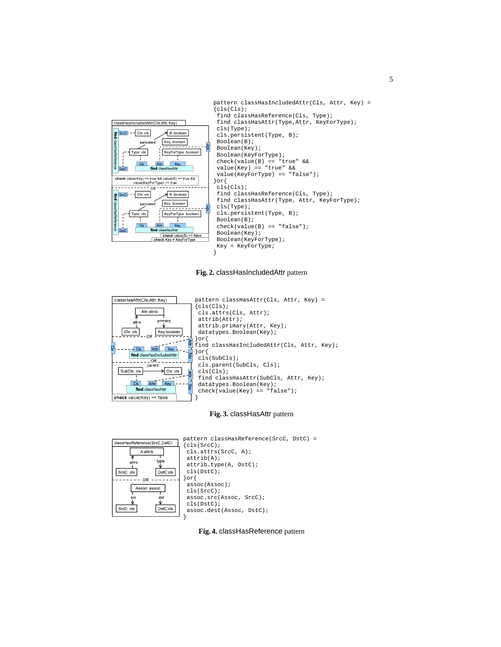|                                                                                                    | pattern classHasIncludedAttr(Cls, Attr, Key) = |
|----------------------------------------------------------------------------------------------------|------------------------------------------------|
|                                                                                                    | ${cls(Cls)}$                                   |
|                                                                                                    | find classHasReference(Cls, Type);             |
| classHasIncludedAttr(Cls.Attr.Key)                                                                 | find classHasAttr(Type, Attr, KeyForType);     |
|                                                                                                    | cls(Type);                                     |
| B: boolean<br>Cls: cls                                                                             | cls. persistent(Type, B);                      |
| Pund classHasketence<br>Pund classHasketence<br>Fund classHasketence<br>Key: boolean<br>persistent | Boolean(B);                                    |
| ă                                                                                                  | Boolean(Key);                                  |
| KeyForType: boolean<br>Type: cls                                                                   | Boolean(KeyForType);                           |
| Kev<br>Cls<br>Attr                                                                                 | $check(value(B)) == "true" &$                  |
| find classHasAttr<br>DstC                                                                          | $value(Key) == "true" &$                       |
|                                                                                                    | $value(KeyForType) == "false");$               |
| check value(Key) == true && value(B) == true &&<br>value(KeyForType) == true                       | $\sigma$                                       |
| OR                                                                                                 | cls(Cls);                                      |
| SrcC<br>Cls: cls<br>B: boolean                                                                     | find classHasReference(Cls, Type);             |
| Key: boolean<br>persistent                                                                         | find classHasAttr(Type, Attr, KeyForType);     |
|                                                                                                    | cls(Type);                                     |
| KeyForType: boolean<br>Type: cls                                                                   | cls.persistent(Type, B);                       |
|                                                                                                    | $Boolean(B)$ ;                                 |
| <b>find</b> classHasReference<br>Attr<br>Kev<br>Cls:<br>find classHasAttr                          | $check(value(B) == "false");$                  |
| DstC<br>$check value(B) == false$                                                                  | Boolean(Key);                                  |
| check Key = KeyForType                                                                             | Boolean(KeyForType);                           |
|                                                                                                    | $Key = KeyForType;$                            |
|                                                                                                    |                                                |
|                                                                                                    |                                                |

**Fig. 2.** classHasIncludedAttr pattern



#### **Fig. 3.** classHasAttr pattern



pattern classHasReference(SrcC, DstC) = {cls(SrcC); cls.attrs(SrcC, A);  $\texttt{attrib(A)}$  ; attrib.type(A, DstC);  $\mathtt{cls}(\mathtt{DstC})$  ; }or{ assoc(Assoc); cls(SrcC); assoc.src(Assoc, SrcC); cls(DstC); assoc.dest(Assoc, DstC);

**Fig. 4.** classHasReference pattern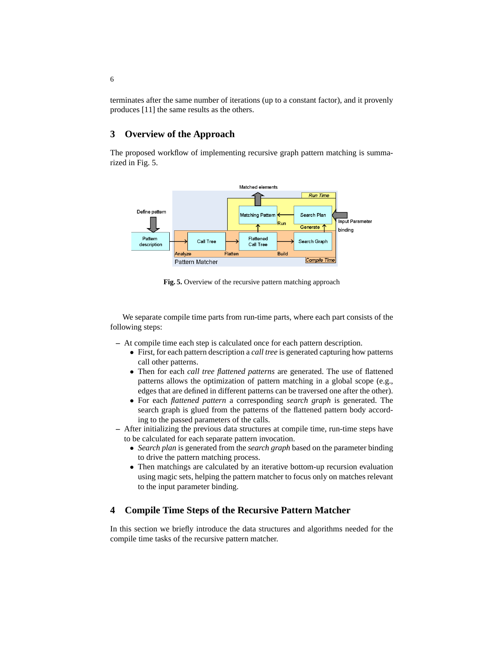terminates after the same number of iterations (up to a constant factor), and it provenly produces [11] the same results as the others.

# **3 Overview of the Approach**

The proposed workflow of implementing recursive graph pattern matching is summarized in Fig. 5.



**Fig. 5.** Overview of the recursive pattern matching approach

We separate compile time parts from run-time parts, where each part consists of the following steps:

- **–** At compile time each step is calculated once for each pattern description.
	- First, for each pattern description a *call tree* is generated capturing how patterns call other patterns.
	- Then for each *call tree flattened patterns* are generated. The use of flattened patterns allows the optimization of pattern matching in a global scope (e.g., edges that are defined in different patterns can be traversed one after the other).
	- For each *flattened pattern* a corresponding *search graph* is generated. The search graph is glued from the patterns of the flattened pattern body according to the passed parameters of the calls.
- **–** After initializing the previous data structures at compile time, run-time steps have to be calculated for each separate pattern invocation.
	- *Search plan* is generated from the *search graph* based on the parameter binding to drive the pattern matching process.
	- Then matchings are calculated by an iterative bottom-up recursion evaluation using magic sets, helping the pattern matcher to focus only on matches relevant to the input parameter binding.

# **4 Compile Time Steps of the Recursive Pattern Matcher**

In this section we briefly introduce the data structures and algorithms needed for the compile time tasks of the recursive pattern matcher.

6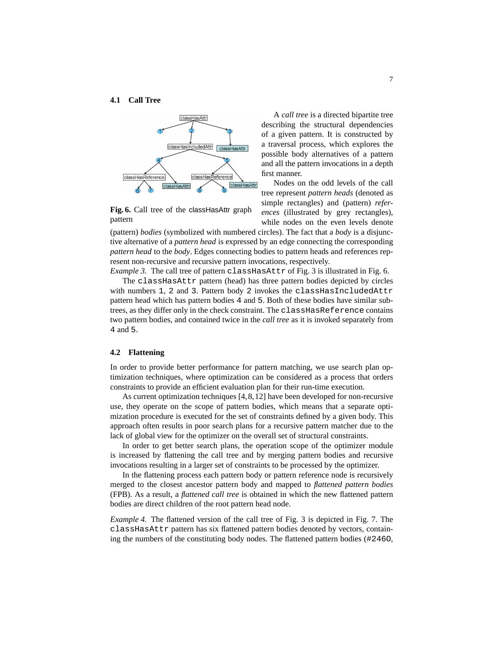#### **4.1 Call Tree**



**Fig. 6.** Call tree of the classHasAttr graph pattern

A *call tree* is a directed bipartite tree describing the structural dependencies of a given pattern. It is constructed by a traversal process, which explores the possible body alternatives of a pattern and all the pattern invocations in a depth first manner.

Nodes on the odd levels of the call tree represent *pattern heads* (denoted as simple rectangles) and (pattern) *references* (illustrated by grey rectangles), while nodes on the even levels denote

(pattern) *bodies* (symbolized with numbered circles). The fact that a *body* is a disjunctive alternative of a *pattern head* is expressed by an edge connecting the corresponding *pattern head* to the *body*. Edges connecting bodies to pattern heads and references represent non-recursive and recursive pattern invocations, respectively.

*Example 3.* The call tree of pattern class Has Attr of Fig. 3 is illustrated in Fig. 6.

The classHasAttr pattern (head) has three pattern bodies depicted by circles with numbers 1, 2 and 3. Pattern body 2 invokes the classHasIncludedAttr pattern head which has pattern bodies 4 and 5. Both of these bodies have similar subtrees, as they differ only in the check constraint. The classHasReference contains two pattern bodies, and contained twice in the *call tree* as it is invoked separately from 4 and 5.

#### **4.2 Flattening**

In order to provide better performance for pattern matching, we use search plan optimization techniques, where optimization can be considered as a process that orders constraints to provide an efficient evaluation plan for their run-time execution.

As current optimization techniques [4,8,12] have been developed for non-recursive use, they operate on the scope of pattern bodies, which means that a separate optimization procedure is executed for the set of constraints defined by a given body. This approach often results in poor search plans for a recursive pattern matcher due to the lack of global view for the optimizer on the overall set of structural constraints.

In order to get better search plans, the operation scope of the optimizer module is increased by flattening the call tree and by merging pattern bodies and recursive invocations resulting in a larger set of constraints to be processed by the optimizer.

In the flattening process each pattern body or pattern reference node is recursively merged to the closest ancestor pattern body and mapped to *flattened pattern bodies* (FPB). As a result, a *flattened call tree* is obtained in which the new flattened pattern bodies are direct children of the root pattern head node.

*Example 4.* The flattened version of the call tree of Fig. 3 is depicted in Fig. 7. The classHasAttr pattern has six flattened pattern bodies denoted by vectors, containing the numbers of the constituting body nodes. The flattened pattern bodies (#246O,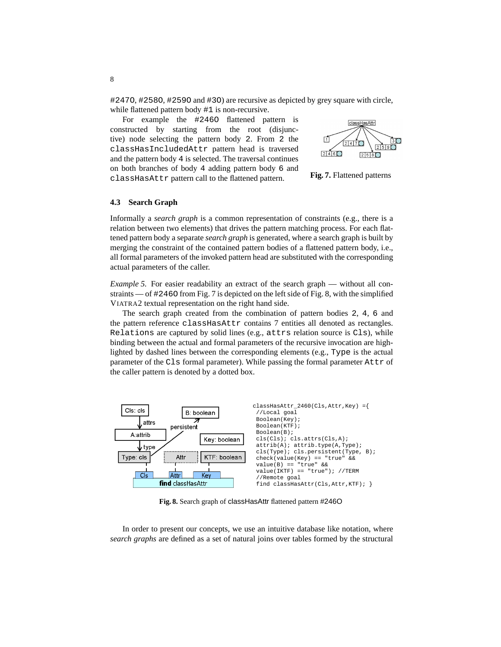#247O, #258O, #259O and #3O) are recursive as depicted by grey square with circle, while flattened pattern body #1 is non-recursive.

For example the #246O flattened pattern is constructed by starting from the root (disjunctive) node selecting the pattern body 2. From 2 the classHasIncludedAttr pattern head is traversed and the pattern body 4 is selected. The traversal continues on both branches of body 4 adding pattern body 6 and classHasAttr pattern call to the flattened pattern.



**Fig. 7.** Flattened patterns

#### **4.3 Search Graph**

Informally a *search graph* is a common representation of constraints (e.g., there is a relation between two elements) that drives the pattern matching process. For each flattened pattern body a separate *search graph* is generated, where a search graph is built by merging the constraint of the contained pattern bodies of a flattened pattern body, i.e., all formal parameters of the invoked pattern head are substituted with the corresponding actual parameters of the caller.

*Example 5.* For easier readability an extract of the search graph — without all constraints — of #246O from Fig. 7 is depicted on the left side of Fig. 8, with the simplified VIATRA2 textual representation on the right hand side.

The search graph created from the combination of pattern bodies 2, 4, 6 and the pattern reference classHasAttr contains 7 entities all denoted as rectangles. Relations are captured by solid lines (e.g., attrs relation source is Cls), while binding between the actual and formal parameters of the recursive invocation are highlighted by dashed lines between the corresponding elements (e.g., Type is the actual parameter of the Cls formal parameter). While passing the formal parameter Attr of the caller pattern is denoted by a dotted box.



**Fig. 8.** Search graph of classHasAttr flattened pattern #246O

In order to present our concepts, we use an intuitive database like notation, where *search graphs* are defined as a set of natural joins over tables formed by the structural

8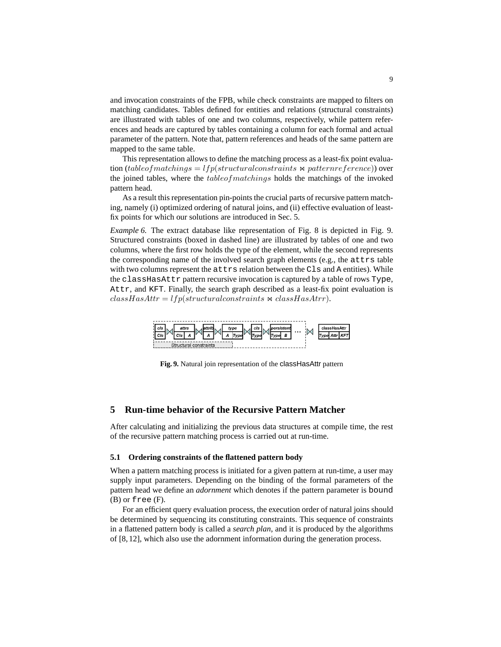and invocation constraints of the FPB, while check constraints are mapped to filters on matching candidates. Tables defined for entities and relations (structural constraints) are illustrated with tables of one and two columns, respectively, while pattern references and heads are captured by tables containing a column for each formal and actual parameter of the pattern. Note that, pattern references and heads of the same pattern are mapped to the same table.

This representation allows to define the matching process as a least-fix point evaluation (tableo fmatchings = l fp(structural constraints  $\bowtie$  patternreference)) over the joined tables, where the *tableof matchings* holds the matchings of the invoked pattern head.

As a result this representation pin-points the crucial parts of recursive pattern matching, namely (i) optimized ordering of natural joins, and (ii) effective evaluation of leastfix points for which our solutions are introduced in Sec. 5.

*Example 6.* The extract database like representation of Fig. 8 is depicted in Fig. 9. Structured constraints (boxed in dashed line) are illustrated by tables of one and two columns, where the first row holds the type of the element, while the second represents the corresponding name of the involved search graph elements (e.g., the attrs table with two columns represent the  $attxs$  relation between the Cls and A entities). While the classHasAttr pattern recursive invocation is captured by a table of rows Type, Attr, and KFT. Finally, the search graph described as a least-fix point evaluation is  $classHasAttr = lfp(structural constraints \times classHasAttr).$ 



**Fig. 9.** Natural join representation of the classHasAttr pattern

### **5 Run-time behavior of the Recursive Pattern Matcher**

After calculating and initializing the previous data structures at compile time, the rest of the recursive pattern matching process is carried out at run-time.

### **5.1 Ordering constraints of the flattened pattern body**

When a pattern matching process is initiated for a given pattern at run-time, a user may supply input parameters. Depending on the binding of the formal parameters of the pattern head we define an *adornment* which denotes if the pattern parameter is bound  $(B)$  or free  $(F)$ .

For an efficient query evaluation process, the execution order of natural joins should be determined by sequencing its constituting constraints. This sequence of constraints in a flattened pattern body is called a *search plan*, and it is produced by the algorithms of [8, 12], which also use the adornment information during the generation process.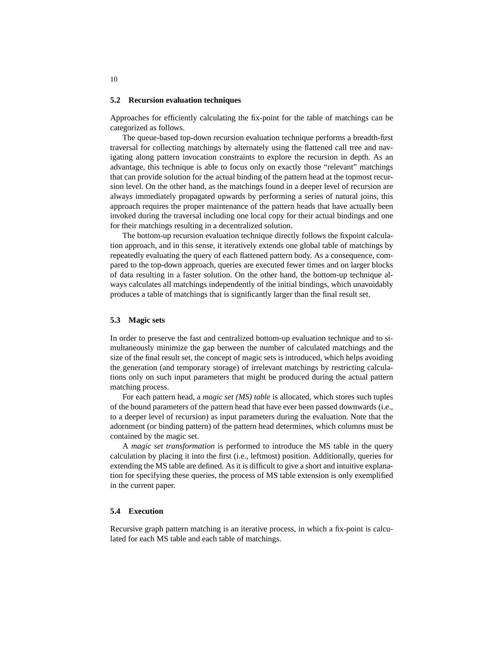#### **5.2 Recursion evaluation techniques**

Approaches for efficiently calculating the fix-point for the table of matchings can be categorized as follows.

The queue-based top-down recursion evaluation technique performs a breadth-first traversal for collecting matchings by alternately using the flattened call tree and navigating along pattern invocation constraints to explore the recursion in depth. As an advantage, this technique is able to focus only on exactly those "relevant" matchings that can provide solution for the actual binding of the pattern head at the topmost recursion level. On the other hand, as the matchings found in a deeper level of recursion are always immediately propagated upwards by performing a series of natural joins, this approach requires the proper maintenance of the pattern heads that have actually been invoked during the traversal including one local copy for their actual bindings and one for their matchings resulting in a decentralized solution.

The bottom-up recursion evaluation technique directly follows the fixpoint calculation approach, and in this sense, it iteratively extends one global table of matchings by repeatedly evaluating the query of each flattened pattern body. As a consequence, compared to the top-down approach, queries are executed fewer times and on larger blocks of data resulting in a faster solution. On the other hand, the bottom-up technique always calculates all matchings independently of the initial bindings, which unavoidably produces a table of matchings that is significantly larger than the final result set.

#### **5.3 Magic sets**

In order to preserve the fast and centralized bottom-up evaluation technique and to simultaneously minimize the gap between the number of calculated matchings and the size of the final result set, the concept of magic sets is introduced, which helps avoiding the generation (and temporary storage) of irrelevant matchings by restricting calculations only on such input parameters that might be produced during the actual pattern matching process.

For each pattern head, a *magic set (MS) table* is allocated, which stores such tuples of the bound parameters of the pattern head that have ever been passed downwards (i.e., to a deeper level of recursion) as input parameters during the evaluation. Note that the adornment (or binding pattern) of the pattern head determines, which columns must be contained by the magic set.

A *magic set transformation* is performed to introduce the MS table in the query calculation by placing it into the first (i.e., leftmost) position. Additionally, queries for extending the MS table are defined. As it is difficult to give a short and intuitive explanation for specifying these queries, the process of MS table extension is only exemplified in the current paper.

#### **5.4 Execution**

Recursive graph pattern matching is an iterative process, in which a fix-point is calculated for each MS table and each table of matchings.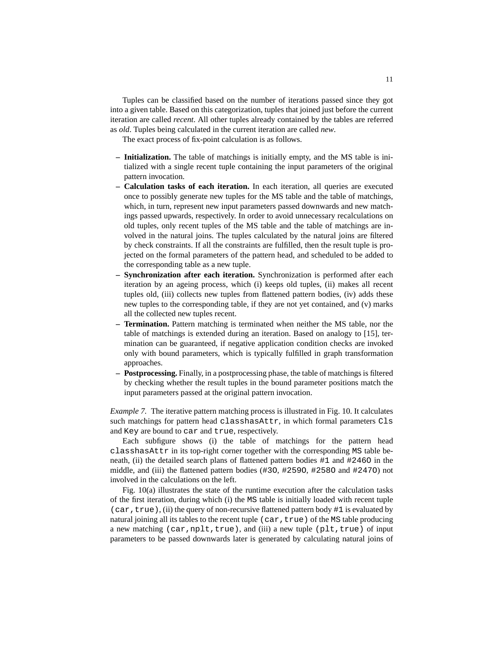Tuples can be classified based on the number of iterations passed since they got into a given table. Based on this categorization, tuples that joined just before the current iteration are called *recent*. All other tuples already contained by the tables are referred as *old*. Tuples being calculated in the current iteration are called *new*.

The exact process of fix-point calculation is as follows.

- **– Initialization.** The table of matchings is initially empty, and the MS table is initialized with a single recent tuple containing the input parameters of the original pattern invocation.
- **– Calculation tasks of each iteration.** In each iteration, all queries are executed once to possibly generate new tuples for the MS table and the table of matchings, which, in turn, represent new input parameters passed downwards and new matchings passed upwards, respectively. In order to avoid unnecessary recalculations on old tuples, only recent tuples of the MS table and the table of matchings are involved in the natural joins. The tuples calculated by the natural joins are filtered by check constraints. If all the constraints are fulfilled, then the result tuple is projected on the formal parameters of the pattern head, and scheduled to be added to the corresponding table as a new tuple.
- **– Synchronization after each iteration.** Synchronization is performed after each iteration by an ageing process, which (i) keeps old tuples, (ii) makes all recent tuples old, (iii) collects new tuples from flattened pattern bodies, (iv) adds these new tuples to the corresponding table, if they are not yet contained, and (v) marks all the collected new tuples recent.
- **– Termination.** Pattern matching is terminated when neither the MS table, nor the table of matchings is extended during an iteration. Based on analogy to [15], termination can be guaranteed, if negative application condition checks are invoked only with bound parameters, which is typically fulfilled in graph transformation approaches.
- **– Postprocessing.** Finally, in a postprocessing phase, the table of matchings is filtered by checking whether the result tuples in the bound parameter positions match the input parameters passed at the original pattern invocation.

*Example 7.* The iterative pattern matching process is illustrated in Fig. 10. It calculates such matchings for pattern head classhasAttr, in which formal parameters Cls and Key are bound to car and true, respectively.

Each subfigure shows (i) the table of matchings for the pattern head classhasAttr in its top-right corner together with the corresponding MS table beneath, (ii) the detailed search plans of flattened pattern bodies #1 and #246O in the middle, and (iii) the flattened pattern bodies (#3O, #259O, #258O and #247O) not involved in the calculations on the left.

Fig. 10(a) illustrates the state of the runtime execution after the calculation tasks of the first iteration, during which (i) the MS table is initially loaded with recent tuple  $(car, true)$ , (ii) the query of non-recursive flattened pattern body  $#1$  is evaluated by natural joining all its tables to the recent tuple (car, true) of the MS table producing a new matching (car, nplt, true), and (iii) a new tuple (plt, true) of input parameters to be passed downwards later is generated by calculating natural joins of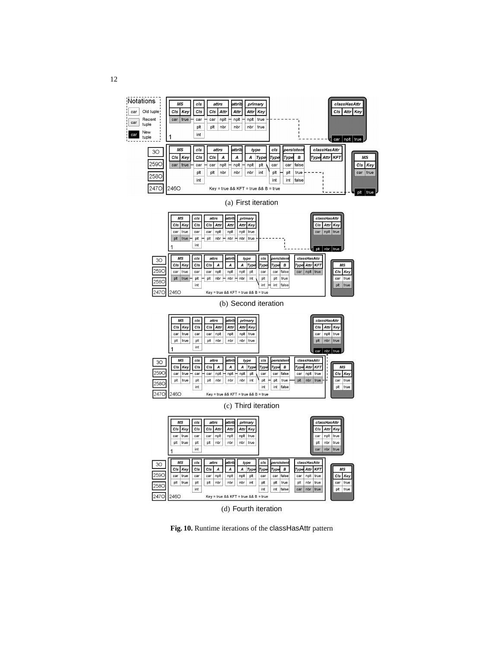

**Fig. 10.** Runtime iterations of the classHasAttr pattern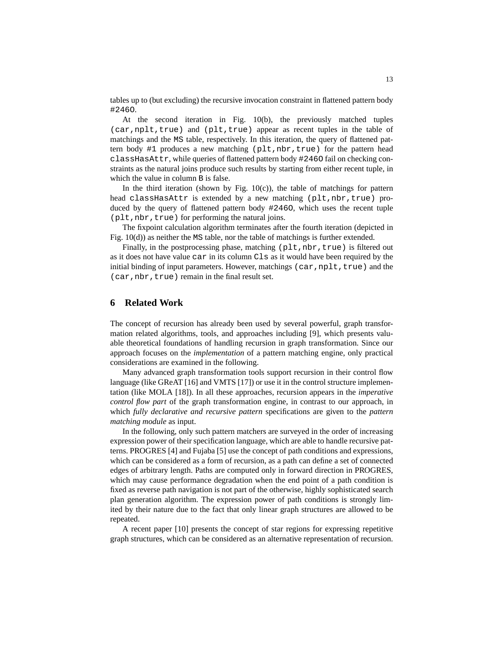tables up to (but excluding) the recursive invocation constraint in flattened pattern body #246O.

At the second iteration in Fig. 10(b), the previously matched tuples (car, nplt, true) and (plt, true) appear as recent tuples in the table of matchings and the MS table, respectively. In this iteration, the query of flattened pattern body  $#1$  produces a new matching (plt,nbr,true) for the pattern head classHasAttr, while queries of flattened pattern body #246O fail on checking constraints as the natural joins produce such results by starting from either recent tuple, in which the value in column B is false.

In the third iteration (shown by Fig.  $10(c)$ ), the table of matchings for pattern head classHasAttr is extended by a new matching (plt, nbr, true) produced by the query of flattened pattern body #246O, which uses the recent tuple (plt, nbr, true) for performing the natural joins.

The fixpoint calculation algorithm terminates after the fourth iteration (depicted in Fig. 10(d)) as neither the MS table, nor the table of matchings is further extended.

Finally, in the postprocessing phase, matching (plt,nbr,true) is filtered out as it does not have value car in its column Cls as it would have been required by the initial binding of input parameters. However, matchings  $(car, nplt, true)$  and the (car,nbr,true) remain in the final result set.

## **6 Related Work**

The concept of recursion has already been used by several powerful, graph transformation related algorithms, tools, and approaches including [9], which presents valuable theoretical foundations of handling recursion in graph transformation. Since our approach focuses on the *implementation* of a pattern matching engine, only practical considerations are examined in the following.

Many advanced graph transformation tools support recursion in their control flow language (like GReAT [16] and VMTS [17]) or use it in the control structure implementation (like MOLA [18]). In all these approaches, recursion appears in the *imperative control flow part* of the graph transformation engine, in contrast to our approach, in which *fully declarative and recursive pattern* specifications are given to the *pattern matching module* as input.

In the following, only such pattern matchers are surveyed in the order of increasing expression power of their specification language, which are able to handle recursive patterns. PROGRES [4] and Fujaba [5] use the concept of path conditions and expressions, which can be considered as a form of recursion, as a path can define a set of connected edges of arbitrary length. Paths are computed only in forward direction in PROGRES, which may cause performance degradation when the end point of a path condition is fixed as reverse path navigation is not part of the otherwise, highly sophisticated search plan generation algorithm. The expression power of path conditions is strongly limited by their nature due to the fact that only linear graph structures are allowed to be repeated.

A recent paper [10] presents the concept of star regions for expressing repetitive graph structures, which can be considered as an alternative representation of recursion.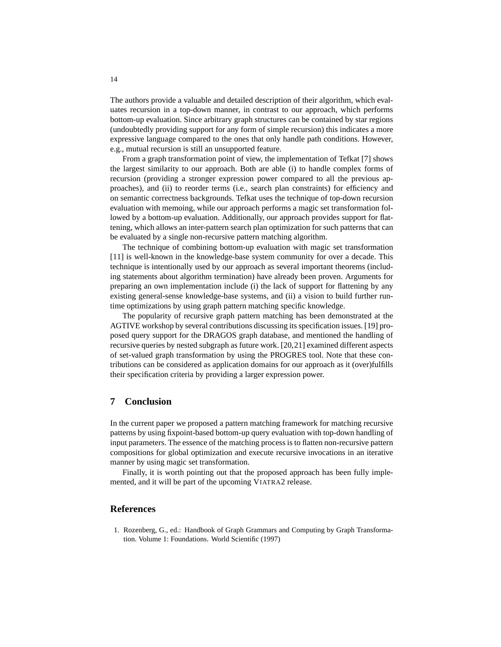The authors provide a valuable and detailed description of their algorithm, which evaluates recursion in a top-down manner, in contrast to our approach, which performs bottom-up evaluation. Since arbitrary graph structures can be contained by star regions (undoubtedly providing support for any form of simple recursion) this indicates a more expressive language compared to the ones that only handle path conditions. However, e.g., mutual recursion is still an unsupported feature.

From a graph transformation point of view, the implementation of Tefkat [7] shows the largest similarity to our approach. Both are able (i) to handle complex forms of recursion (providing a stronger expression power compared to all the previous approaches), and (ii) to reorder terms (i.e., search plan constraints) for efficiency and on semantic correctness backgrounds. Tefkat uses the technique of top-down recursion evaluation with memoing, while our approach performs a magic set transformation followed by a bottom-up evaluation. Additionally, our approach provides support for flattening, which allows an inter-pattern search plan optimization for such patterns that can be evaluated by a single non-recursive pattern matching algorithm.

The technique of combining bottom-up evaluation with magic set transformation [11] is well-known in the knowledge-base system community for over a decade. This technique is intentionally used by our approach as several important theorems (including statements about algorithm termination) have already been proven. Arguments for preparing an own implementation include (i) the lack of support for flattening by any existing general-sense knowledge-base systems, and (ii) a vision to build further runtime optimizations by using graph pattern matching specific knowledge.

The popularity of recursive graph pattern matching has been demonstrated at the AGTIVE workshop by several contributions discussing its specification issues. [19] proposed query support for the DRAGOS graph database, and mentioned the handling of recursive queries by nested subgraph as future work. [20,21] examined different aspects of set-valued graph transformation by using the PROGRES tool. Note that these contributions can be considered as application domains for our approach as it (over)fulfills their specification criteria by providing a larger expression power.

# **7 Conclusion**

In the current paper we proposed a pattern matching framework for matching recursive patterns by using fixpoint-based bottom-up query evaluation with top-down handling of input parameters. The essence of the matching process is to flatten non-recursive pattern compositions for global optimization and execute recursive invocations in an iterative manner by using magic set transformation.

Finally, it is worth pointing out that the proposed approach has been fully implemented, and it will be part of the upcoming VIATRA2 release.

## **References**

1. Rozenberg, G., ed.: Handbook of Graph Grammars and Computing by Graph Transformation. Volume 1: Foundations. World Scientific (1997)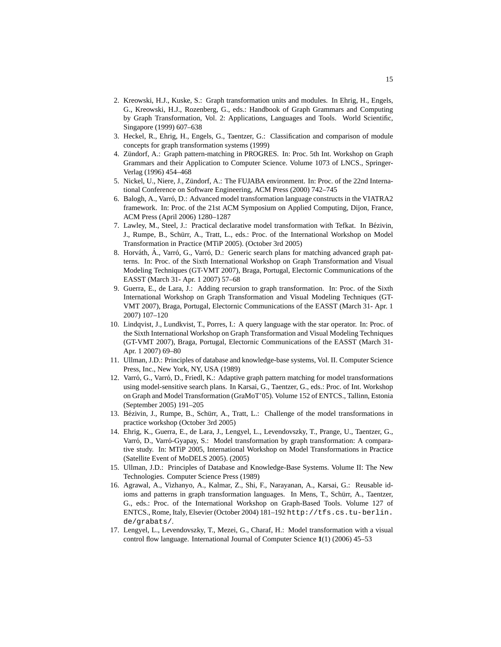- 2. Kreowski, H.J., Kuske, S.: Graph transformation units and modules. In Ehrig, H., Engels, G., Kreowski, H.J., Rozenberg, G., eds.: Handbook of Graph Grammars and Computing by Graph Transformation, Vol. 2: Applications, Languages and Tools. World Scientific, Singapore (1999) 607–638
- 3. Heckel, R., Ehrig, H., Engels, G., Taentzer, G.: Classification and comparison of module concepts for graph transformation systems (1999)
- 4. Zündorf, A.: Graph pattern-matching in PROGRES. In: Proc. 5th Int. Workshop on Graph Grammars and their Application to Computer Science. Volume 1073 of LNCS., Springer-Verlag (1996) 454–468
- 5. Nickel, U., Niere, J., Zündorf, A.: The FUJABA environment. In: Proc. of the 22nd International Conference on Software Engineering, ACM Press (2000) 742–745
- 6. Balogh, A., Varró, D.: Advanced model transformation language constructs in the VIATRA2 framework. In: Proc. of the 21st ACM Symposium on Applied Computing, Dijon, France, ACM Press (April 2006) 1280–1287
- 7. Lawley, M., Steel, J.: Practical declarative model transformation with Tefkat. In Bezivin, ´ J., Rumpe, B., Schürr, A., Tratt, L., eds.: Proc. of the International Workshop on Model Transformation in Practice (MTiP 2005). (October 3rd 2005)
- 8. Horváth, Á., Varró, G., Varró, D.: Generic search plans for matching advanced graph patterns. In: Proc. of the Sixth International Workshop on Graph Transformation and Visual Modeling Techniques (GT-VMT 2007), Braga, Portugal, Electornic Communications of the EASST (March 31- Apr. 1 2007) 57–68
- 9. Guerra, E., de Lara, J.: Adding recursion to graph transformation. In: Proc. of the Sixth International Workshop on Graph Transformation and Visual Modeling Techniques (GT-VMT 2007), Braga, Portugal, Electornic Communications of the EASST (March 31- Apr. 1 2007) 107–120
- 10. Lindqvist, J., Lundkvist, T., Porres, I.: A query language with the star operator. In: Proc. of the Sixth International Workshop on Graph Transformation and Visual Modeling Techniques (GT-VMT 2007), Braga, Portugal, Electornic Communications of the EASST (March 31- Apr. 1 2007) 69–80
- 11. Ullman, J.D.: Principles of database and knowledge-base systems, Vol. II. Computer Science Press, Inc., New York, NY, USA (1989)
- 12. Varró, G., Varró, D., Friedl, K.: Adaptive graph pattern matching for model transformations using model-sensitive search plans. In Karsai, G., Taentzer, G., eds.: Proc. of Int. Workshop on Graph and Model Transformation (GraMoT'05). Volume 152 of ENTCS., Tallinn, Estonia (September 2005) 191–205
- 13. Bézivin, J., Rumpe, B., Schürr, A., Tratt, L.: Challenge of the model transformations in practice workshop (October 3rd 2005)
- 14. Ehrig, K., Guerra, E., de Lara, J., Lengyel, L., Levendovszky, T., Prange, U., Taentzer, G., Varró, D., Varró-Gyapay, S.: Model transformation by graph transformation: A comparative study. In: MTiP 2005, International Workshop on Model Transformations in Practice (Satellite Event of MoDELS 2005). (2005)
- 15. Ullman, J.D.: Principles of Database and Knowledge-Base Systems. Volume II: The New Technologies. Computer Science Press (1989)
- 16. Agrawal, A., Vizhanyo, A., Kalmar, Z., Shi, F., Narayanan, A., Karsai, G.: Reusable idioms and patterns in graph transformation languages. In Mens, T., Schürr, A., Taentzer, G., eds.: Proc. of the International Workshop on Graph-Based Tools. Volume 127 of ENTCS., Rome, Italy, Elsevier (October 2004) 181–192 http://tfs.cs.tu-berlin. de/grabats/.
- 17. Lengyel, L., Levendovszky, T., Mezei, G., Charaf, H.: Model transformation with a visual control flow language. International Journal of Computer Science **1**(1) (2006) 45–53